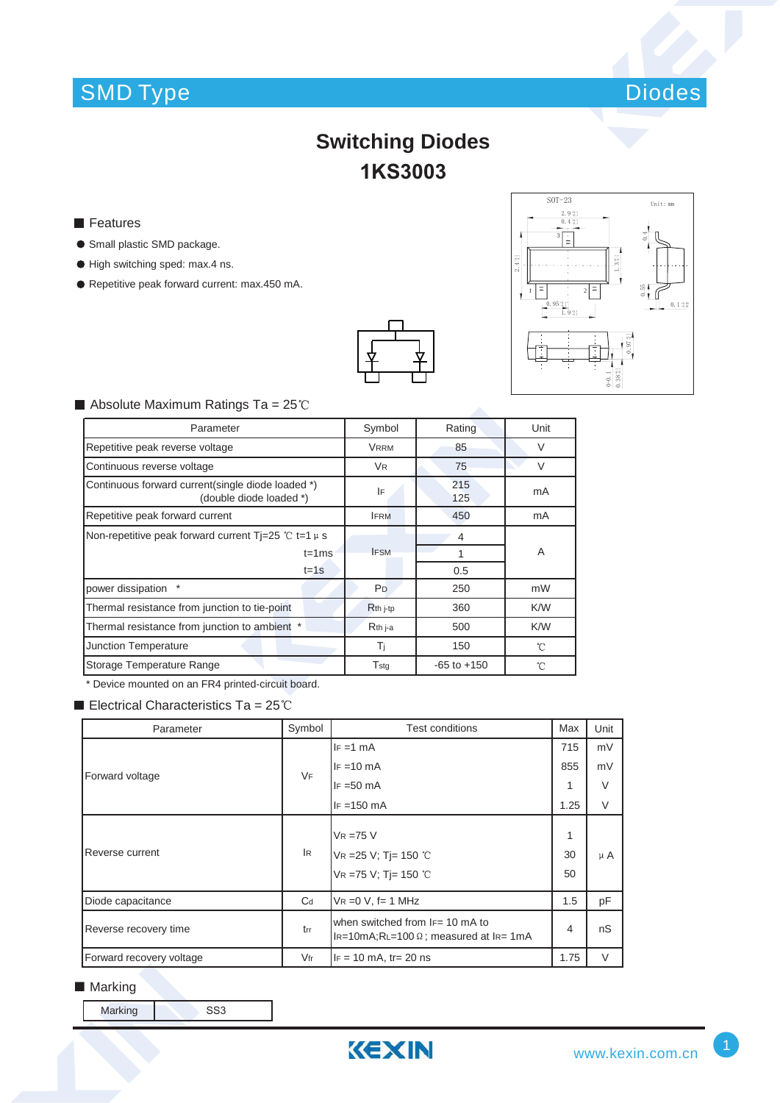# SMD Type Diodes



## **Switching Diodes 1KS3003**

- **Features**
- **Small plastic SMD package.**
- $\bullet$  High switching sped: max.4 ns.
- Repetitive peak forward current: max.450 mA.





#### $\blacksquare$  Absolute Maximum Ratings Ta = 25°C

| Parameter                                                                    | Symbol               | Rating          | Unit         |
|------------------------------------------------------------------------------|----------------------|-----------------|--------------|
| Repetitive peak reverse voltage                                              | <b>VRRM</b>          | 85              | $\vee$       |
| Continuous reverse voltage                                                   | <b>V<sub>R</sub></b> | 75              | $\vee$       |
| Continuous forward current(single diode loaded *)<br>(double diode loaded *) | IF                   | 215<br>125      | mA           |
| Repetitive peak forward current                                              | <b>IFRM</b>          | 450             | mA           |
| Non-repetitive peak forward current Ti=25 °C t=1 $\mu$ s                     |                      | 4               |              |
| $t = 1$ ms                                                                   | <b>IFSM</b>          |                 | A            |
| $t = 1s$                                                                     |                      | 0.5             |              |
| power dissipation                                                            | P <sub>D</sub>       | 250             | mW           |
| Thermal resistance from junction to tie-point                                | R <sub>th</sub> j-tp | 360             | K/W          |
| Thermal resistance from junction to ambient *                                | $Rth$ j-a            | 500             | K/W          |
| Junction Temperature                                                         | Tì                   | 150             | $^{\circ}$ C |
| Storage Temperature Range                                                    | $T_{\rm stg}$        | $-65$ to $+150$ | °C           |

\* Device mounted on an FR4 printed-circuit board.

Electrical Characteristics Ta =  $25^{\circ}$ C

| Parameter                | Symbol    | Test conditions                                                                        |               | Unit    |
|--------------------------|-----------|----------------------------------------------------------------------------------------|---------------|---------|
|                          |           | $IF = 1 mA$                                                                            | 715           | mV      |
| Forward voltage          | <b>VF</b> | $IF = 10 mA$                                                                           | 855           | mV      |
|                          |           | $IF = 50 mA$                                                                           | 1             | $\vee$  |
|                          |           | $IF = 150 mA$                                                                          | 1.25          | $\vee$  |
| Reverse current          | IR.       | $V_R = 75 V$<br>VR = 25 V; Tj = 150 °C<br>VR =75 V; Tj= 150 °C                         | 1<br>30<br>50 | $\mu$ A |
| Diode capacitance        | $C_d$     | $VR = 0 V$ , f= 1 MHz                                                                  | 1.5           | pF      |
| Reverse recovery time    | trr       | when switched from IF= 10 mA to<br>$I_{R=10m}$ A;RL=100 $\Omega$ ; measured at IR= 1mA | 4             | nS      |
| Forward recovery voltage | $V$ fr    | $IF = 10 mA$ , tr= 20 ns                                                               | 1.75          | $\vee$  |

### ■ Marking

| SS <sub>3</sub><br>Marking |
|----------------------------|
|----------------------------|

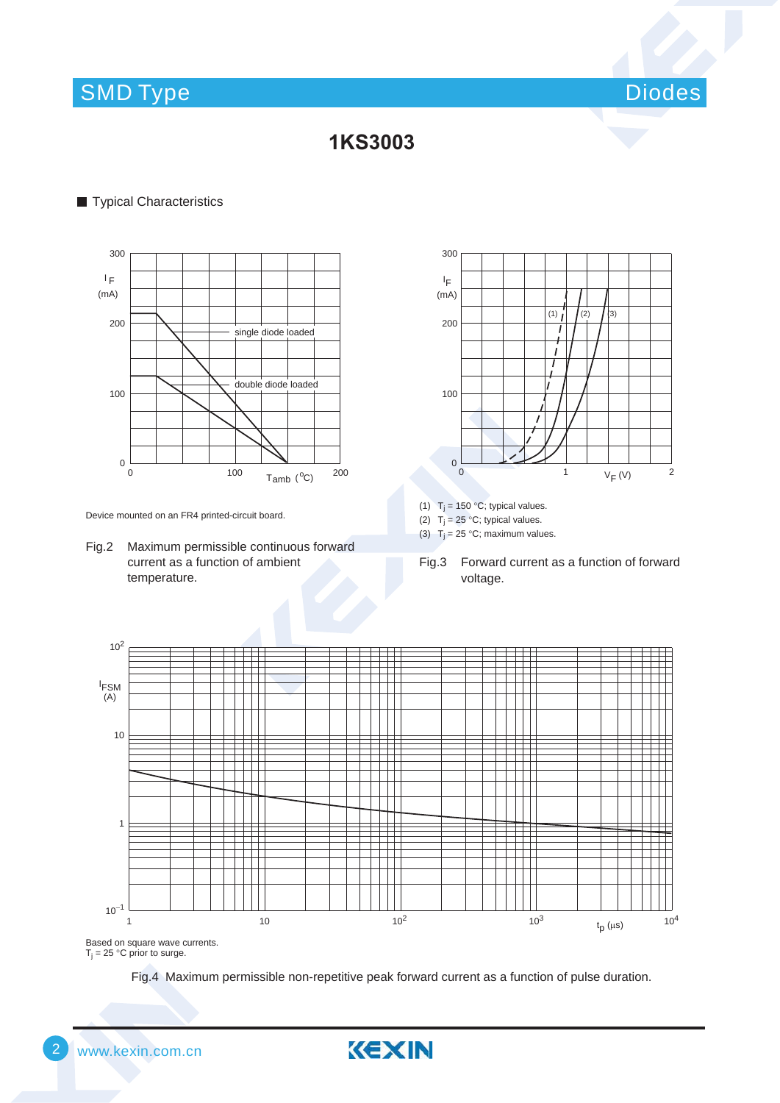## SMD Type Diodes and Diodes and Diodes and Diodes and Diodes and Diodes and Diodes and Diodes and Diodes and Diodes

### **,4**

#### **Typical Characteristics**



Device mounted on an FR4 printed-circuit board.

Fig.2 Maximum permissible continuous forward current as a function of ambient temperature.



- (1)  $T_j = 150 °C$ ; typical values.
- (2)  $T_j = 25 \degree C$ ; typical values.
- (3)  $T_j = 25 °C$ ; maximum values.
- Fig.3 Forward current as a function of forward voltage.



 $T_j = 25 \degree C$  prior to surge.

Fig.4 Maximum permissible non-repetitive peak forward current as a function of pulse duration.

KEXIN